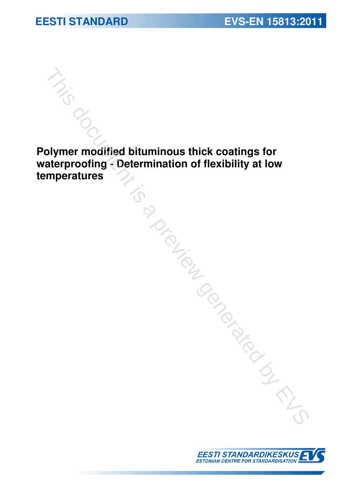# **EESTI STANDARD EVS-EN 15813:2011**

**Polymer modified bituminous thick coatings for waterproofing - Determination of flexibility at low the contract of the controlled bituminous thick coatings for waterproofing - Determination of flexibility at low temperatures** 

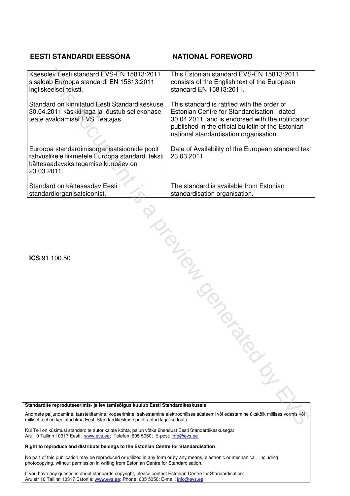### **EESTI STANDARDI EESSÕNA NATIONAL FOREWORD**

| Käesolev Eesti standard EVS-EN 15813:2011<br>sisaldab Euroopa standardi EN 15813:2011<br>ingliskeelset teksti.                                                                                                                                                                                               | This Estonian standard EVS-EN 15813:2011<br>consists of the English text of the European<br>standard EN 15813:2011.                                                                                                                          |  |
|--------------------------------------------------------------------------------------------------------------------------------------------------------------------------------------------------------------------------------------------------------------------------------------------------------------|----------------------------------------------------------------------------------------------------------------------------------------------------------------------------------------------------------------------------------------------|--|
| Standard on kinnitatud Eesti Standardikeskuse<br>30.04.2011 käskkirjaga ja jõustub sellekohase<br>teate avaldamisel EVS Teatajas.                                                                                                                                                                            | This standard is ratified with the order of<br>Estonian Centre for Standardisation dated<br>30.04.2011 and is endorsed with the notification<br>published in the official bulletin of the Estonian<br>national standardisation organisation. |  |
| Euroopa standardimisorganisatsioonide poolt<br>rahvuslikele liikmetele Euroopa standardi teksti<br>kättesaadavaks tegemise kuupäev on<br>23.03.2011.                                                                                                                                                         | Date of Availability of the European standard text<br>23.03.2011.                                                                                                                                                                            |  |
| Standard on kättesaadav Eesti<br>standardiorganisatsioonist.                                                                                                                                                                                                                                                 | The standard is available from Estonian<br>standardisation organisation.                                                                                                                                                                     |  |
| ICS 91.100.50                                                                                                                                                                                                                                                                                                |                                                                                                                                                                                                                                              |  |
|                                                                                                                                                                                                                                                                                                              |                                                                                                                                                                                                                                              |  |
|                                                                                                                                                                                                                                                                                                              | <b>PRODUCED</b>                                                                                                                                                                                                                              |  |
| Standardite reprodutseerimis- ja levitamisõigus kuulub Eesti Standardikeskusele<br>Andmete paljundamine, taastekitamine, kopeerimine, salvestamine elektroonilisse süsteemi või edastamine ükskõik millises vormis või<br>nillisel teel on keelatud ilma Eesti Standardikeskuse poolt antud kirjaliku loata. |                                                                                                                                                                                                                                              |  |

#### **Standardite reprodutseerimis- ja levitamisõigus kuulub Eesti Standardikeskusele**

Kui Teil on küsimusi standardite autorikaitse kohta, palun võtke ühendust Eesti Standardikeskusega: Aru 10 Tallinn 10317 Eesti; www.evs.ee; Telefon: 605 5050; E-post: info@evs.ee

#### **Right to reproduce and distribute belongs to the Estonian Centre for Standardisation**

No part of this publication may be reproduced or utilized in any form or by any means, electronic or mechanical, including photocopying, without permission in writing from Estonian Centre for Standardisation.

If you have any questions about standards copyright, please contact Estonian Centre for Standardisation: Aru str 10 Tallinn 10317 Estonia; www.evs.ee; Phone: 605 5050; E-mail: info@evs.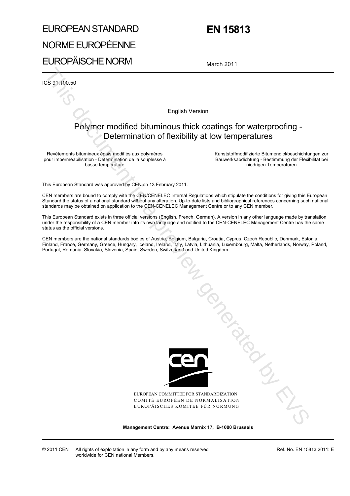# EUROPEAN STANDARD NORME EUROPÉENNE EUROPÄISCHE NORM

# **EN 15813**

March 2011

ICS 91.100.50

English Version

### Polymer modified bituminous thick coatings for waterproofing - Determination of flexibility at low temperatures

Revêtements bitumineux épais modifiés aux polymères pour imperméabilisation - Détermination de la souplesse à basse température

 Kunststoffmodifizierte Bitumendickbeschichtungen zur Bauwerksabdichtung - Bestimmung der Flexibilität bei niedrigen Temperaturen

This European Standard was approved by CEN on 13 February 2011.

CEN members are bound to comply with the CEN/CENELEC Internal Regulations which stipulate the conditions for giving this European Standard the status of a national standard without any alteration. Up-to-date lists and bibliographical references concerning such national standards may be obtained on application to the CEN-CENELEC Management Centre or to any CEN member.

This European Standard exists in three official versions (English, French, German). A version in any other language made by translation under the responsibility of a CEN member into its own language and notified to the CEN-CENELEC Management Centre has the same status as the official versions.

CEN members are the national standards bodies of Austria, Belgium, Bulgaria, Croatia, Cyprus, Czech Republic, Denmark, Estonia, Finland, France, Germany, Greece, Hungary, Iceland, Ireland, Italy, Latvia, Lithuania, Luxembourg, Malta, Netherlands, Norway, Poland, Portugal, Romania, Slovakia, Slovenia, Spain, Sweden, Switzerland and United Kingdom.



EUROPEAN COMMITTEE FOR STANDARDIZATION COMITÉ EUROPÉEN DE NORMALISATION EUROPÄISCHES KOMITEE FÜR NORMUNG

**Management Centre: Avenue Marnix 17, B-1000 Brussels**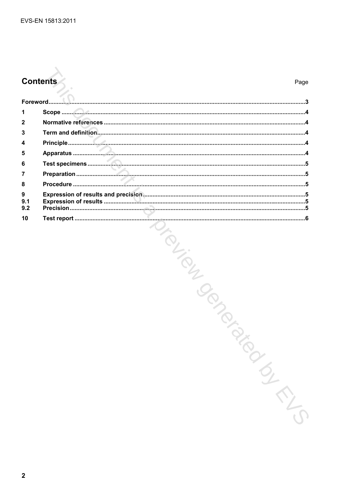# **Contents**

| 1               |                                        |
|-----------------|----------------------------------------|
| $\mathbf{2}$    |                                        |
| 3               |                                        |
| 4               |                                        |
| 5               |                                        |
| 6               |                                        |
| 7               |                                        |
| 8               |                                        |
| 9<br>9.1<br>9.2 |                                        |
| 10              | Iran Can<br><b>Southernal</b><br>INTIS |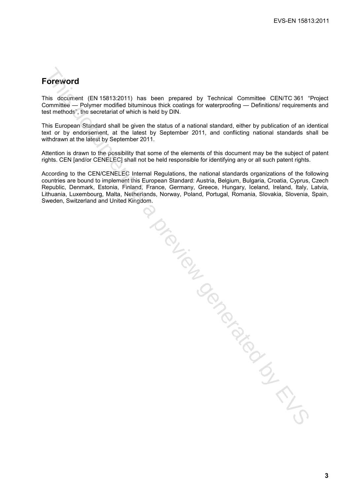## **Foreword**

This document (EN 15813:2011) has been prepared by Technical Committee CEN/TC 361 "Project Committee — Polymer modified bituminous thick coatings for waterproofing — Definitions/ requirements and test methods", the secretariat of which is held by DIN.

This European Standard shall be given the status of a national standard, either by publication of an identical text or by endorsement, at the latest by September 2011, and conflicting national standards shall be withdrawn at the latest by September 2011.

Attention is drawn to the possibility that some of the elements of this document may be the subject of patent rights. CEN [and/or CENELEC] shall not be held responsible for identifying any or all such patent rights.

According to the CEN/CENELEC Internal Regulations, the national standards organizations of the following countries are bound to implement this European Standard: Austria, Belgium, Bulgaria, Croatia, Cyprus, Czech Republic, Denmark, Estonia, Finland, France, Germany, Greece, Hungary, Iceland, Ireland, Italy, Latvia, Lithuania, Luxembourg, Malta, Netherlands, Norway, Poland, Portugal, Romania, Slovakia, Slovenia, Spain, Sweden, Switzerland and United Kingdom.

**Protein is a previously for the CIRTS**